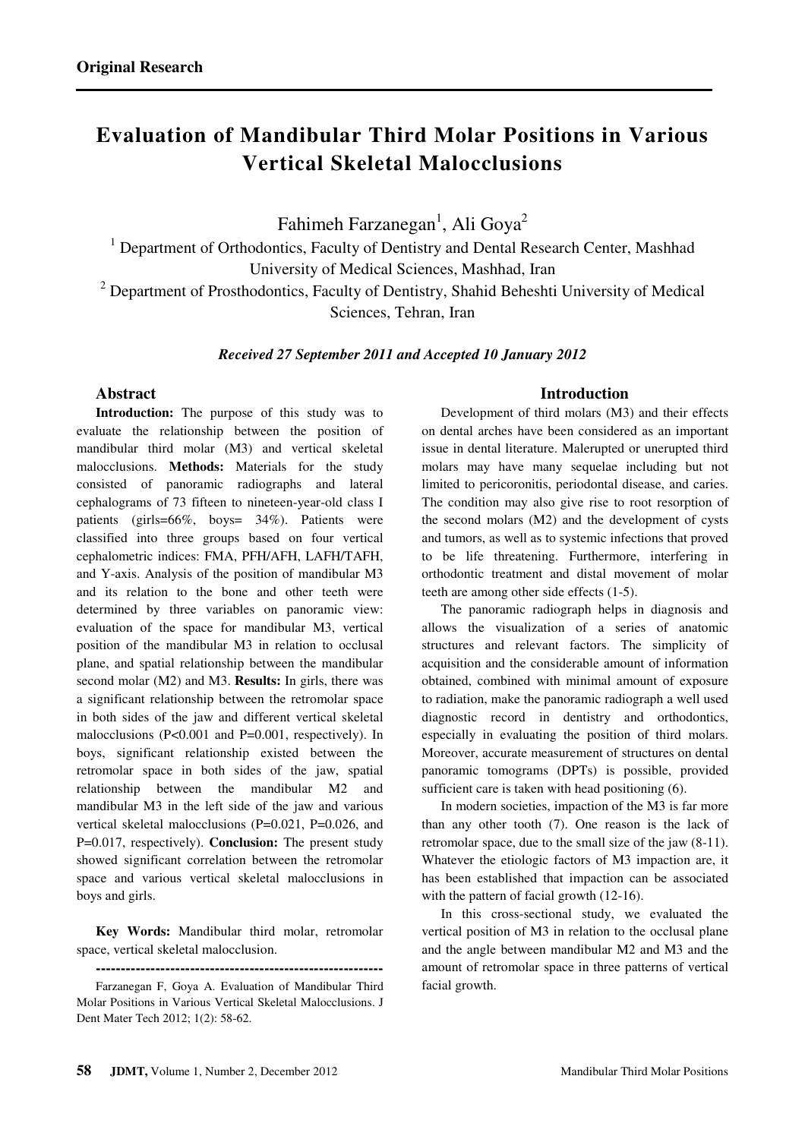# **Evaluation of Mandibular Third Molar Positions in Various Vertical Skeletal Malocclusions**

Fahimeh Farzanegan $^1$ , Ali Goya $^2$ 

<sup>1</sup> Department of Orthodontics, Faculty of Dentistry and Dental Research Center, Mashhad University of Medical Sciences, Mashhad, Iran

<sup>2</sup> Department of Prosthodontics, Faculty of Dentistry, Shahid Beheshti University of Medical Sciences, Tehran, Iran

*Received 27 September 2011 and Accepted 10 January 2012*

# **Abstract**

**Introduction:** The purpose of this study was to evaluate the relationship between the position of mandibular third molar (M3) and vertical skeletal malocclusions. **Methods:** Materials for the study consisted of panoramic radiographs and lateral cephalograms of 73 fifteen to nineteen-year-old class I patients (girls=66%, boys= 34%). Patients were classified into three groups based on four vertical cephalometric indices: FMA, PFH/AFH, LAFH/TAFH, and Y-axis. Analysis of the position of mandibular M3 and its relation to the bone and other teeth were determined by three variables on panoramic view: evaluation of the space for mandibular M3, vertical position of the mandibular M3 in relation to occlusal plane, and spatial relationship between the mandibular second molar (M2) and M3. **Results:** In girls, there was a significant relationship between the retromolar space in both sides of the jaw and different vertical skeletal malocclusions (P<0.001 and P=0.001, respectively). In boys, significant relationship existed between the retromolar space in both sides of the jaw, spatial relationship between the mandibular M2 and mandibular M3 in the left side of the jaw and various vertical skeletal malocclusions (P=0.021, P=0.026, and P=0.017, respectively). **Conclusion:** The present study showed significant correlation between the retromolar space and various vertical skeletal malocclusions in boys and girls.

**Key Words:** Mandibular third molar, retromolar space, vertical skeletal malocclusion.

# **Introduction**

Development of third molars (M3) and their effects on dental arches have been considered as an important issue in dental literature. Malerupted or unerupted third molars may have many sequelae including but not limited to pericoronitis, periodontal disease, and caries. The condition may also give rise to root resorption of the second molars (M2) and the development of cysts and tumors, as well as to systemic infections that proved to be life threatening. Furthermore, interfering in orthodontic treatment and distal movement of molar teeth are among other side effects (1-5).

The panoramic radiograph helps in diagnosis and allows the visualization of a series of anatomic structures and relevant factors. The simplicity of acquisition and the considerable amount of information obtained, combined with minimal amount of exposure to radiation, make the panoramic radiograph a well used diagnostic record in dentistry and orthodontics, especially in evaluating the position of third molars. Moreover, accurate measurement of structures on dental panoramic tomograms (DPTs) is possible, provided sufficient care is taken with head positioning (6).

In modern societies, impaction of the M3 is far more than any other tooth (7). One reason is the lack of retromolar space, due to the small size of the jaw (8-11). Whatever the etiologic factors of M3 impaction are, it has been established that impaction can be associated with the pattern of facial growth  $(12-16)$ .

In this cross-sectional study, we evaluated the vertical position of M3 in relation to the occlusal plane and the angle between mandibular M2 and M3 and the amount of retromolar space in three patterns of vertical facial growth.

**<sup>----------------------------------------------------------</sup>**  Farzanegan F, Goya A. Evaluation of Mandibular Third Molar Positions in Various Vertical Skeletal Malocclusions. J Dent Mater Tech 2012; 1(2): 58-62.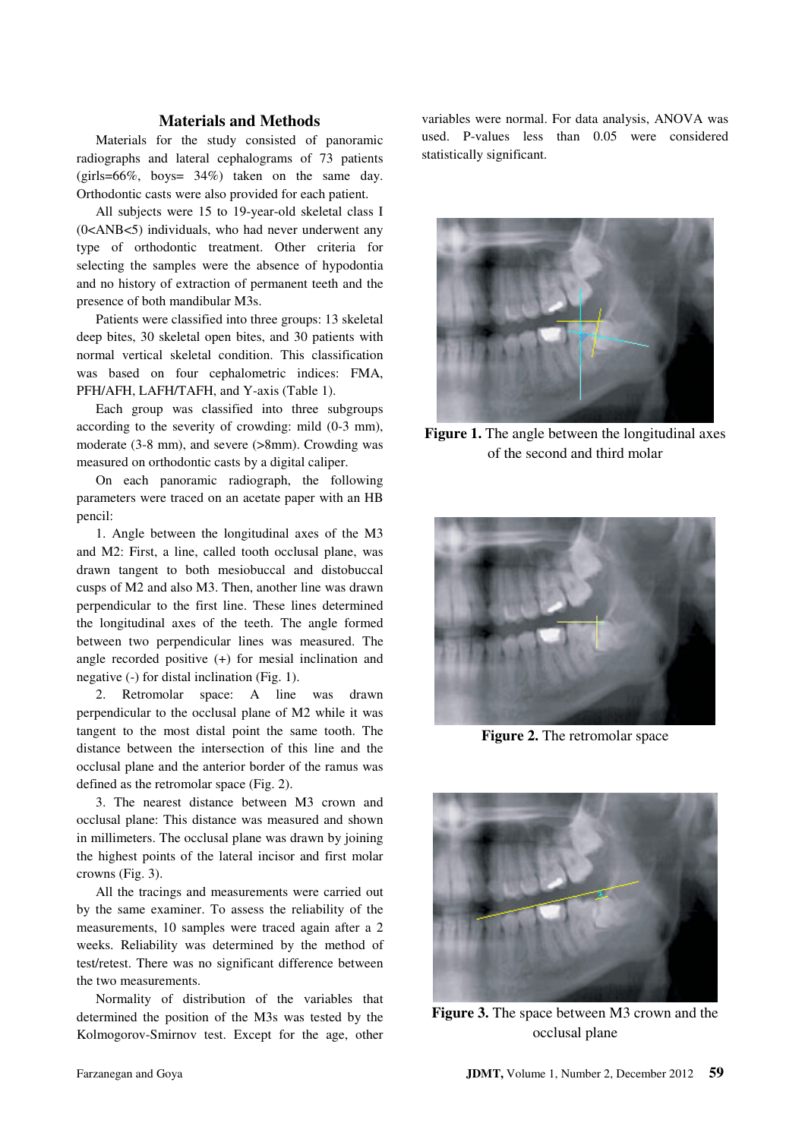## **Materials and Methods**

Materials for the study consisted of panoramic radiographs and lateral cephalograms of 73 patients (girls=66%, boys= 34%) taken on the same day. Orthodontic casts were also provided for each patient.

All subjects were 15 to 19-year-old skeletal class I (0<ANB<5) individuals, who had never underwent any type of orthodontic treatment. Other criteria for selecting the samples were the absence of hypodontia and no history of extraction of permanent teeth and the presence of both mandibular M3s.

Patients were classified into three groups: 13 skeletal deep bites, 30 skeletal open bites, and 30 patients with normal vertical skeletal condition. This classification was based on four cephalometric indices: FMA, PFH/AFH, LAFH/TAFH, and Y-axis (Table 1).

Each group was classified into three subgroups according to the severity of crowding: mild (0-3 mm), moderate (3-8 mm), and severe (>8mm). Crowding was measured on orthodontic casts by a digital caliper.

On each panoramic radiograph, the following parameters were traced on an acetate paper with an HB pencil:

1. Angle between the longitudinal axes of the M3 and M2: First, a line, called tooth occlusal plane, was drawn tangent to both mesiobuccal and distobuccal cusps of M2 and also M3. Then, another line was drawn perpendicular to the first line. These lines determined the longitudinal axes of the teeth. The angle formed between two perpendicular lines was measured. The angle recorded positive (+) for mesial inclination and negative (-) for distal inclination (Fig. 1).

2. Retromolar space: A line was drawn perpendicular to the occlusal plane of M2 while it was tangent to the most distal point the same tooth. The distance between the intersection of this line and the occlusal plane and the anterior border of the ramus was defined as the retromolar space (Fig. 2).

3. The nearest distance between M3 crown and occlusal plane: This distance was measured and shown in millimeters. The occlusal plane was drawn by joining the highest points of the lateral incisor and first molar crowns (Fig. 3).

All the tracings and measurements were carried out by the same examiner. To assess the reliability of the measurements, 10 samples were traced again after a 2 weeks. Reliability was determined by the method of test/retest. There was no significant difference between the two measurements.

Normality of distribution of the variables that determined the position of the M3s was tested by the Kolmogorov-Smirnov test. Except for the age, other

variables were normal. For data analysis, ANOVA was used. P-values less than 0.05 were considered statistically significant.



**Figure 1.** The angle between the longitudinal axes of the second and third molar



**Figure 2.** The retromolar space



**Figure 3.** The space between M3 crown and the occlusal plane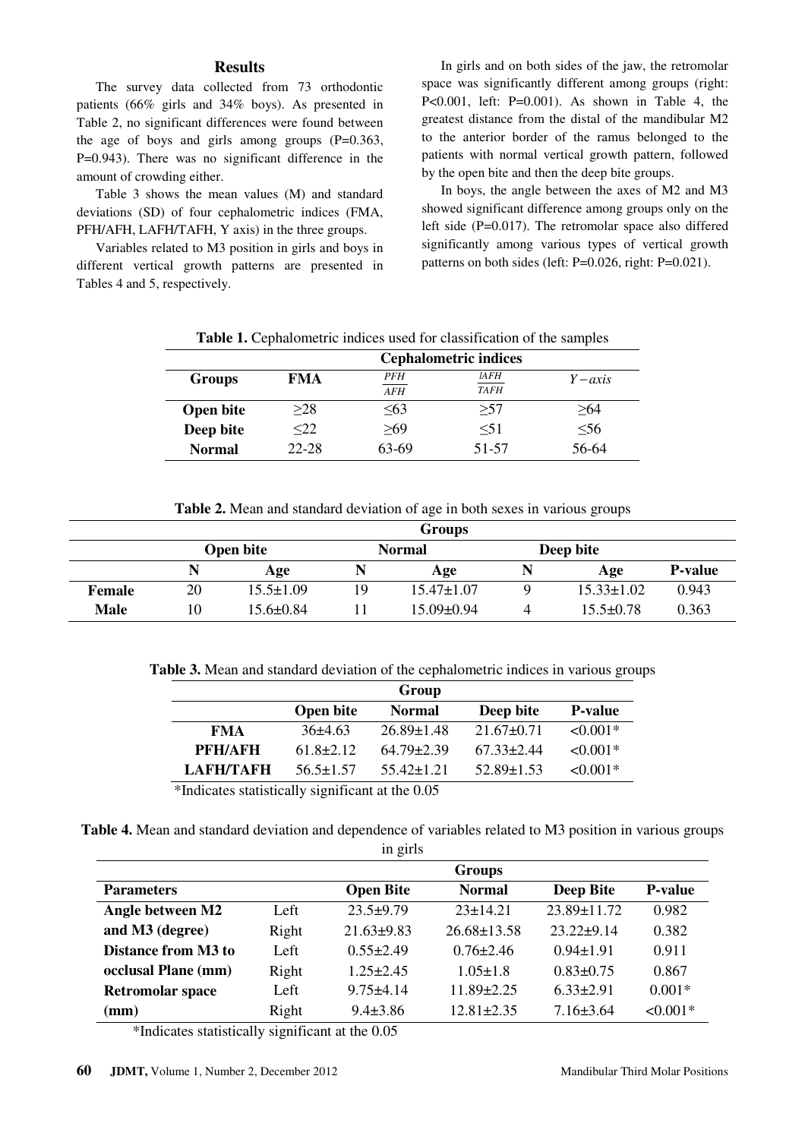# **Results**

The survey data collected from 73 orthodontic patients (66% girls and 34% boys). As presented in Table 2, no significant differences were found between the age of boys and girls among groups (P=0.363, P=0.943). There was no significant difference in the amount of crowding either.

Table 3 shows the mean values (M) and standard deviations (SD) of four cephalometric indices (FMA, PFH/AFH, LAFH/TAFH, Y axis) in the three groups.

Variables related to M3 position in girls and boys in different vertical growth patterns are presented in Tables 4 and 5, respectively.

In girls and on both sides of the jaw, the retromolar space was significantly different among groups (right: P<0.001, left: P=0.001). As shown in Table 4, the greatest distance from the distal of the mandibular M2 to the anterior border of the ramus belonged to the patients with normal vertical growth pattern, followed by the open bite and then the deep bite groups.

In boys, the angle between the axes of M2 and M3 showed significant difference among groups only on the left side (P=0.017). The retromolar space also differed significantly among various types of vertical growth patterns on both sides (left: P=0.026, right: P=0.021).

| <b>Table 1.</b> Cephalometric indices used for classification of the samples |  |  |  |  |  |  |  |  |  |  |  |
|------------------------------------------------------------------------------|--|--|--|--|--|--|--|--|--|--|--|
|------------------------------------------------------------------------------|--|--|--|--|--|--|--|--|--|--|--|

|                  | <b>Cephalometric indices</b> |            |             |            |  |
|------------------|------------------------------|------------|-------------|------------|--|
| <b>Groups</b>    | <b>FMA</b>                   | PFH        | lAFH        | $Y - axis$ |  |
|                  |                              | <b>AFH</b> | <b>TAFH</b> |            |  |
| <b>Open bite</b> | >28                          | $\leq 63$  | >57         | >64        |  |
| Deep bite        | $<$ 22                       | >69        | $\leq 51$   | $\leq 56$  |  |
| <b>Normal</b>    | 22-28                        | 63-69      | 51-57       | 56-64      |  |

**Table 2.** Mean and standard deviation of age in both sexes in various groups

|             | <b>Groups</b>                                  |                 |    |                  |  |                  |                |  |  |
|-------------|------------------------------------------------|-----------------|----|------------------|--|------------------|----------------|--|--|
|             | Deep bite<br><b>Open bite</b><br><b>Normal</b> |                 |    |                  |  |                  |                |  |  |
|             |                                                | Age             | N  | Age              |  | Age              | <b>P-value</b> |  |  |
| Female      | 20                                             | $15.5 \pm 1.09$ | 19 | $15.47 \pm 1.07$ |  | $15.33 \pm 1.02$ | 0.943          |  |  |
| <b>Male</b> | 10                                             | 15.6±0.84       |    | 15.09±0.94       |  | $15.5 \pm 0.78$  | 0.363          |  |  |

**Table 3.** Mean and standard deviation of the cephalometric indices in various groups

| Deep bite<br><b>Open bite</b><br><b>Normal</b><br>$26.89 \pm 1.48$<br>$21.67 + 0.71$<br>$36+4.63$<br><b>FMA</b><br>$64.79 \pm 2.39$<br>$61.8 \pm 2.12$<br>$67.33 \pm 2.44$<br>PFH/AFH |                |                  | Group          |                 |                  |
|---------------------------------------------------------------------------------------------------------------------------------------------------------------------------------------|----------------|------------------|----------------|-----------------|------------------|
|                                                                                                                                                                                       | <b>P-value</b> |                  |                |                 |                  |
|                                                                                                                                                                                       | $< 0.001*$     |                  |                |                 |                  |
|                                                                                                                                                                                       | $\leq 0.001*$  |                  |                |                 |                  |
|                                                                                                                                                                                       | $< 0.001*$     | $52.89 \pm 1.53$ | $55.42 + 1.21$ | $56.5 \pm 1.57$ | <b>LAFH/TAFH</b> |

\*Indicates statistically significant at the 0.05

**Table 4.** Mean and standard deviation and dependence of variables related to M3 position in various groups

| in girls                   |               |                  |                   |                  |            |  |  |
|----------------------------|---------------|------------------|-------------------|------------------|------------|--|--|
|                            | <b>Groups</b> |                  |                   |                  |            |  |  |
| <b>Parameters</b>          |               | <b>Normal</b>    | <b>Deep Bite</b>  | <b>P-value</b>   |            |  |  |
| Angle between M2           | Left          | $23.5+9.79$      | $23 \pm 14.21$    | 23.89±11.72      | 0.982      |  |  |
| and M3 (degree)            | Right         | $21.63 \pm 9.83$ | $26.68 \pm 13.58$ | $23.22 \pm 9.14$ | 0.382      |  |  |
| <b>Distance from M3 to</b> | Left          | $0.55 \pm 2.49$  | $0.76 \pm 2.46$   | $0.94 \pm 1.91$  | 0.911      |  |  |
| occlusal Plane (mm)        | Right         | $1.25 \pm 2.45$  | $1.05 \pm 1.8$    | $0.83 \pm 0.75$  | 0.867      |  |  |
| <b>Retromolar space</b>    | Left          | $9.75 \pm 4.14$  | $11.89 \pm 2.25$  | $6.33 \pm 2.91$  | $0.001*$   |  |  |
| $(\mathbf{mm})$            | Right         | $9.4 \pm 3.86$   | $12.81 \pm 2.35$  | $7.16 \pm 3.64$  | $< 0.001*$ |  |  |

\*Indicates statistically significant at the 0.05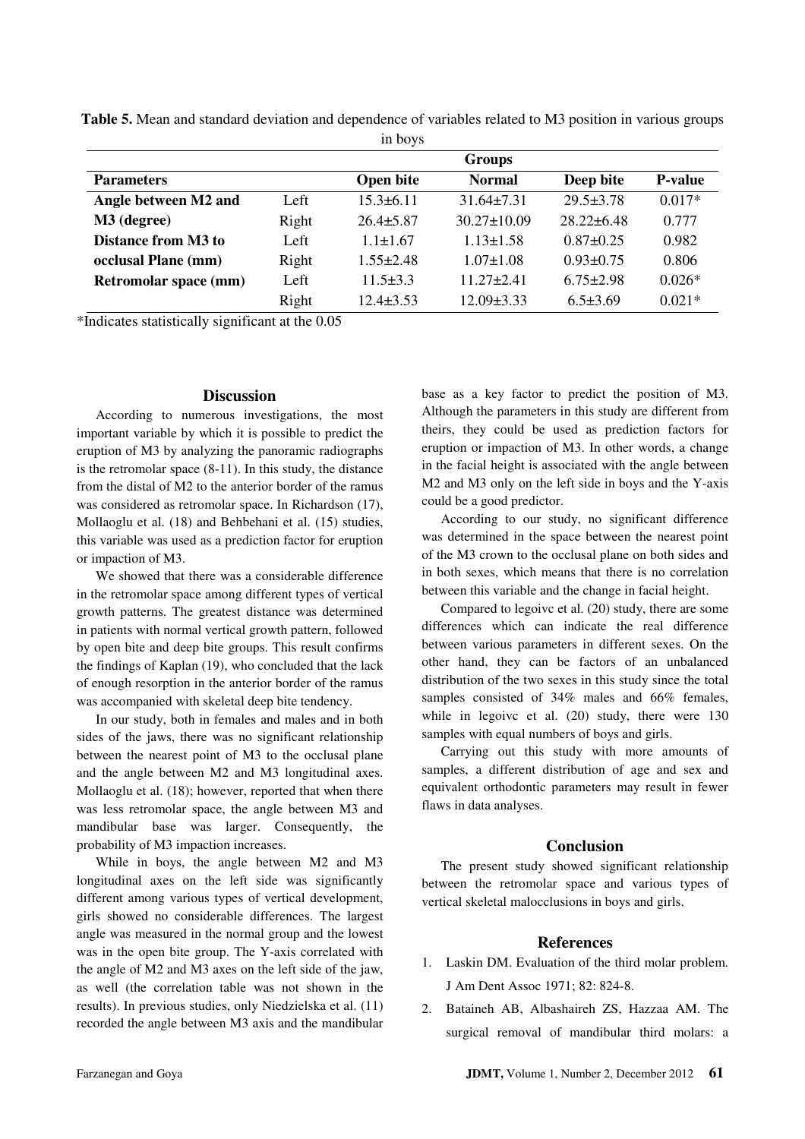|                            |       | 11100, 10       |                   |                  |                |
|----------------------------|-------|-----------------|-------------------|------------------|----------------|
|                            |       |                 | <b>Groups</b>     |                  |                |
| <b>Parameters</b>          |       | Open bite       | <b>Normal</b>     | Deep bite        | <b>P-value</b> |
| Angle between M2 and       | Left  | $15.3 \pm 6.11$ | $31.64 \pm 7.31$  | $29.5 \pm 3.78$  | $0.017*$       |
| M3 (degree)                | Right | $26.4 \pm 5.87$ | $30.27 \pm 10.09$ | $28.22 \pm 6.48$ | 0.777          |
| <b>Distance from M3 to</b> | Left  | $1.1 \pm 1.67$  | $1.13 \pm 1.58$   | $0.87 \pm 0.25$  | 0.982          |
| occlusal Plane (mm)        | Right | $1.55 \pm 2.48$ | $1.07 \pm 1.08$   | $0.93 \pm 0.75$  | 0.806          |
| Retromolar space (mm)      | Left  | $11.5 \pm 3.3$  | $11.27 + 2.41$    | $6.75 \pm 2.98$  | $0.026*$       |
|                            | Right | $12.4 + 3.53$   | $12.09 \pm 3.33$  | $6.5 \pm 3.69$   | $0.021*$       |
|                            |       |                 |                   |                  |                |

**Table 5.** Mean and standard deviation and dependence of variables related to M3 position in various groups in boys

\*Indicates statistically significant at the 0.05

### **Discussion**

According to numerous investigations, the most important variable by which it is possible to predict the eruption of M3 by analyzing the panoramic radiographs is the retromolar space (8-11). In this study, the distance from the distal of M2 to the anterior border of the ramus was considered as retromolar space. In Richardson (17), Mollaoglu et al. (18) and Behbehani et al. (15) studies, this variable was used as a prediction factor for eruption or impaction of M3.

We showed that there was a considerable difference in the retromolar space among different types of vertical growth patterns. The greatest distance was determined in patients with normal vertical growth pattern, followed by open bite and deep bite groups. This result confirms the findings of Kaplan (19), who concluded that the lack of enough resorption in the anterior border of the ramus was accompanied with skeletal deep bite tendency.

In our study, both in females and males and in both sides of the jaws, there was no significant relationship between the nearest point of M3 to the occlusal plane and the angle between M2 and M3 longitudinal axes. Mollaoglu et al. (18); however, reported that when there was less retromolar space, the angle between M3 and mandibular base was larger. Consequently, the probability of M3 impaction increases.

While in boys, the angle between M2 and M3 longitudinal axes on the left side was significantly different among various types of vertical development, girls showed no considerable differences. The largest angle was measured in the normal group and the lowest was in the open bite group. The Y-axis correlated with the angle of M2 and M3 axes on the left side of the jaw, as well (the correlation table was not shown in the results). In previous studies, only Niedzielska et al. (11) recorded the angle between M3 axis and the mandibular

base as a key factor to predict the position of M3. Although the parameters in this study are different from theirs, they could be used as prediction factors for eruption or impaction of M3. In other words, a change in the facial height is associated with the angle between M2 and M3 only on the left side in boys and the Y-axis could be a good predictor.

According to our study, no significant difference was determined in the space between the nearest point of the M3 crown to the occlusal plane on both sides and in both sexes, which means that there is no correlation between this variable and the change in facial height.

Compared to legoivc et al. (20) study, there are some differences which can indicate the real difference between various parameters in different sexes. On the other hand, they can be factors of an unbalanced distribution of the two sexes in this study since the total samples consisted of 34% males and 66% females, while in legoivc et al. (20) study, there were 130 samples with equal numbers of boys and girls.

Carrying out this study with more amounts of samples, a different distribution of age and sex and equivalent orthodontic parameters may result in fewer flaws in data analyses.

#### **Conclusion**

The present study showed significant relationship between the retromolar space and various types of vertical skeletal malocclusions in boys and girls.

#### **References**

- 1. Laskin DM. Evaluation of the third molar problem. J Am Dent Assoc 1971; 82: 824-8.
- 2. Bataineh AB, Albashaireh ZS, Hazzaa AM. The surgical removal of mandibular third molars: a